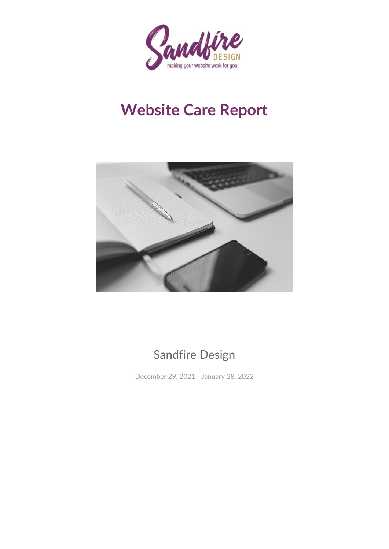

# **Website Care Report**



### Sandfire Design

December 29, 2021 - January 28, 2022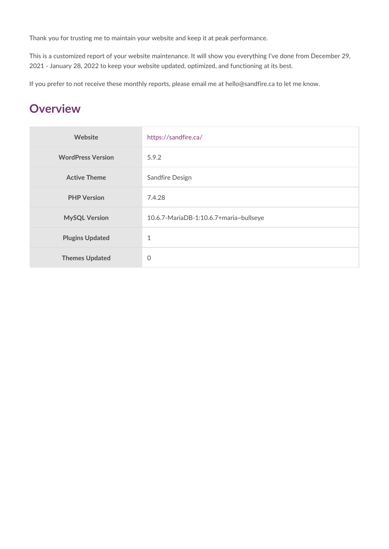Thank you for trusting me to maintain your website and keep it at peak perforr

This is a customized report of your website maintenance. It will show you ever 2021 - January 28, 2022 to keep your website updated, optimized, and function

If you prefer to not receive these monthly reports, please email me at hello@s

#### Overview

| Website                 | https://sandfire.ca/                             |
|-------------------------|--------------------------------------------------|
| WordPress Version 5.9.2 |                                                  |
| Active Theme            | Sandfire Design                                  |
| PHP Version             | 7.4.28                                           |
| MySQL Version           | 10.6.7 - Maria D B - 1:10.6.7 + maria ~ bullseye |
| Plugins Updated         | $\mathbf{1}$                                     |
| Themes Updated          | $\Omega$                                         |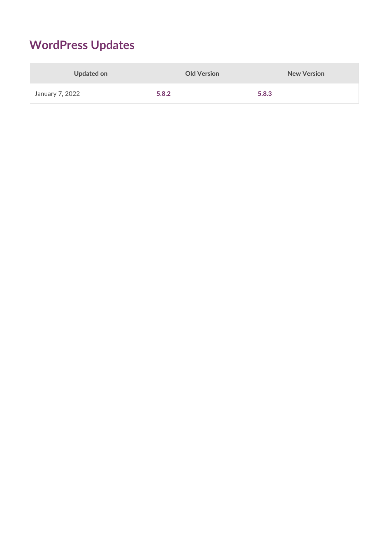### **WordPress Updates**

| Updated on      | <b>Old Version</b> | <b>New Version</b> |
|-----------------|--------------------|--------------------|
| January 7, 2022 | 5.8.2              | 5.8.3              |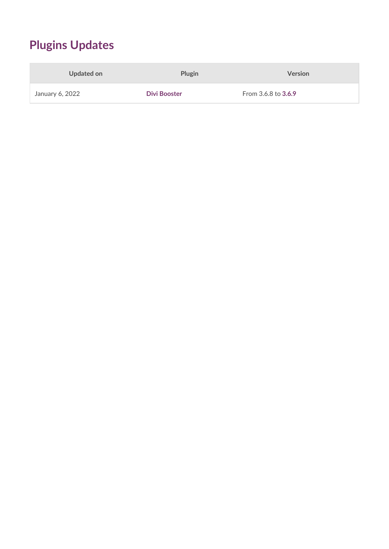# **Plugins Updates**

| Updated on      | Plugin              | <b>Version</b>             |
|-----------------|---------------------|----------------------------|
| January 6, 2022 | <b>Divi Booster</b> | From 3.6.8 to <b>3.6.9</b> |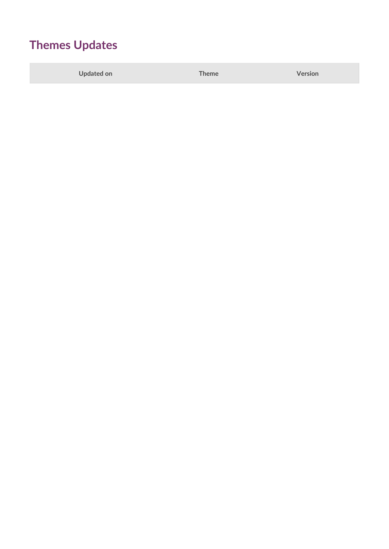### **Themes Updates**

**Updated on Theme Version**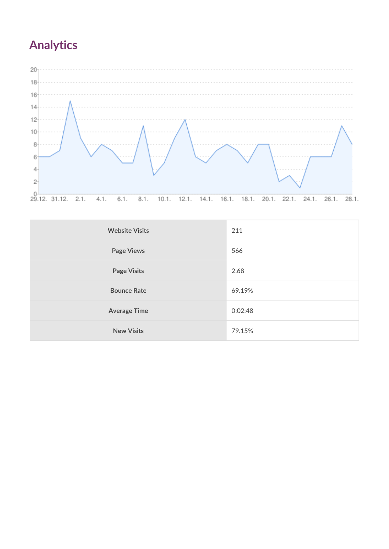# **Analytics**



| <b>Website Visits</b> | 211     |
|-----------------------|---------|
| <b>Page Views</b>     | 566     |
| <b>Page Visits</b>    | 2.68    |
| <b>Bounce Rate</b>    | 69.19%  |
| <b>Average Time</b>   | 0:02:48 |
| <b>New Visits</b>     | 79.15%  |